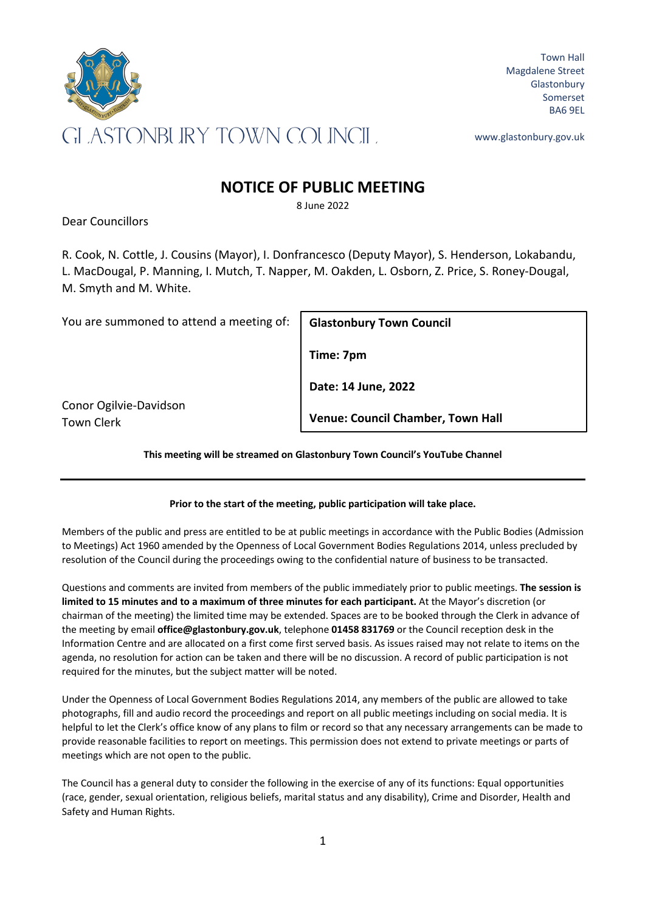

Town Hall Magdalene Street **Glastonbury** Somerset BA6 9EL

www.glastonbury.gov.uk

## **NOTICE OF PUBLIC MEETING**

8 June 2022

Dear Councillors

R. Cook, N. Cottle, J. Cousins (Mayor), I. Donfrancesco (Deputy Mayor), S. Henderson, Lokabandu, L. MacDougal, P. Manning, I. Mutch, T. Napper, M. Oakden, L. Osborn, Z. Price, S. Roney-Dougal, M. Smyth and M. White.

You are summoned to attend a meeting of:

**Glastonbury Town Council**

**Time: 7pm**

**Date: 14 June, 2022**

**Venue: Council Chamber, Town Hall**

Conor Ogilvie-Davidson Town Clerk

**This meeting will be streamed on Glastonbury Town Council's YouTube Channel**

## **Prior to the start of the meeting, public participation will take place.**

Members of the public and press are entitled to be at public meetings in accordance with the Public Bodies (Admission to Meetings) Act 1960 amended by the Openness of Local Government Bodies Regulations 2014, unless precluded by resolution of the Council during the proceedings owing to the confidential nature of business to be transacted.

Questions and comments are invited from members of the public immediately prior to public meetings. **The session is limited to 15 minutes and to a maximum of three minutes for each participant.** At the Mayor's discretion (or chairman of the meeting) the limited time may be extended. Spaces are to be booked through the Clerk in advance of the meeting by email **office@glastonbury.gov.uk**, telephone **01458 831769** or the Council reception desk in the Information Centre and are allocated on a first come first served basis. As issues raised may not relate to items on the agenda, no resolution for action can be taken and there will be no discussion. A record of public participation is not required for the minutes, but the subject matter will be noted.

Under the Openness of Local Government Bodies Regulations 2014, any members of the public are allowed to take photographs, fill and audio record the proceedings and report on all public meetings including on social media. It is helpful to let the Clerk's office know of any plans to film or record so that any necessary arrangements can be made to provide reasonable facilities to report on meetings. This permission does not extend to private meetings or parts of meetings which are not open to the public.

The Council has a general duty to consider the following in the exercise of any of its functions: Equal opportunities (race, gender, sexual orientation, religious beliefs, marital status and any disability), Crime and Disorder, Health and Safety and Human Rights.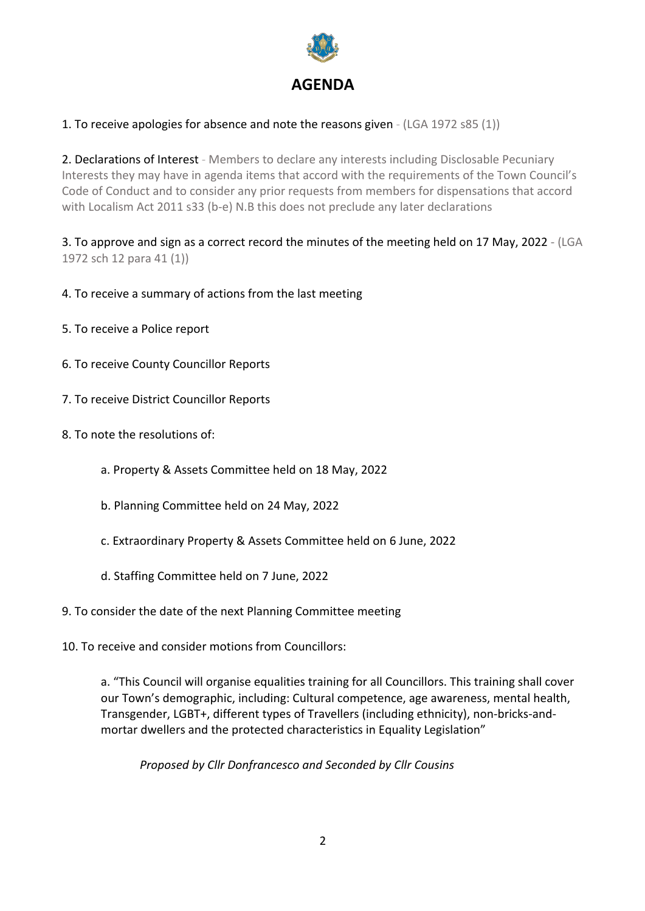

## 1. To receive apologies for absence and note the reasons given - (LGA 1972 s85 (1))

2. Declarations of Interest - Members to declare any interests including Disclosable Pecuniary Interests they may have in agenda items that accord with the requirements of the Town Council's Code of Conduct and to consider any prior requests from members for dispensations that accord with Localism Act 2011 s33 (b-e) N.B this does not preclude any later declarations

3. To approve and sign as a correct record the minutes of the meeting held on 17 May, 2022 - (LGA 1972 sch 12 para 41 (1))

- 4. To receive a summary of actions from the last meeting
- 5. To receive a Police report
- 6. To receive County Councillor Reports
- 7. To receive District Councillor Reports
- 8. To note the resolutions of:
	- a. Property & Assets Committee held on 18 May, 2022
	- b. Planning Committee held on 24 May, 2022
	- c. Extraordinary Property & Assets Committee held on 6 June, 2022
	- d. Staffing Committee held on 7 June, 2022
- 9. To consider the date of the next Planning Committee meeting
- 10. To receive and consider motions from Councillors:

a. "This Council will organise equalities training for all Councillors. This training shall cover our Town's demographic, including: Cultural competence, age awareness, mental health, Transgender, LGBT+, different types of Travellers (including ethnicity), non-bricks-andmortar dwellers and the protected characteristics in Equality Legislation"

*Proposed by Cllr Donfrancesco and Seconded by Cllr Cousins*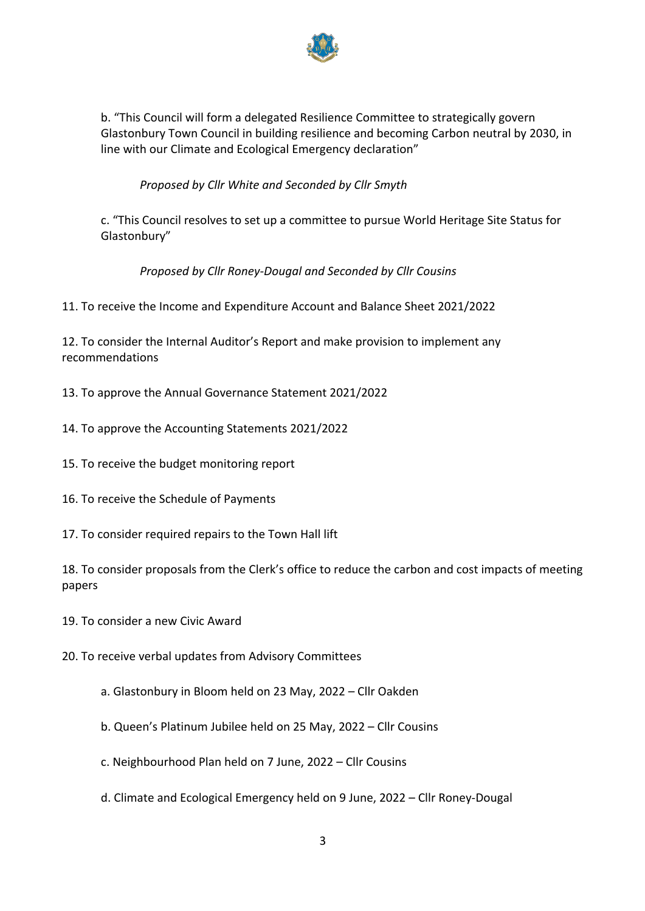

b. "This Council will form a delegated Resilience Committee to strategically govern Glastonbury Town Council in building resilience and becoming Carbon neutral by 2030, in line with our Climate and Ecological Emergency declaration"

*Proposed by Cllr White and Seconded by Cllr Smyth*

c. "This Council resolves to set up a committee to pursue World Heritage Site Status for Glastonbury"

*Proposed by Cllr Roney-Dougal and Seconded by Cllr Cousins*

11. To receive the Income and Expenditure Account and Balance Sheet 2021/2022

12. To consider the Internal Auditor's Report and make provision to implement any recommendations

- 13. To approve the Annual Governance Statement 2021/2022
- 14. To approve the Accounting Statements 2021/2022
- 15. To receive the budget monitoring report
- 16. To receive the Schedule of Payments
- 17. To consider required repairs to the Town Hall lift

18. To consider proposals from the Clerk's office to reduce the carbon and cost impacts of meeting papers

19. To consider a new Civic Award

20. To receive verbal updates from Advisory Committees

- a. Glastonbury in Bloom held on 23 May, 2022 Cllr Oakden
- b. Queen's Platinum Jubilee held on 25 May, 2022 Cllr Cousins
- c. Neighbourhood Plan held on 7 June, 2022 Cllr Cousins
- d. Climate and Ecological Emergency held on 9 June, 2022 Cllr Roney-Dougal